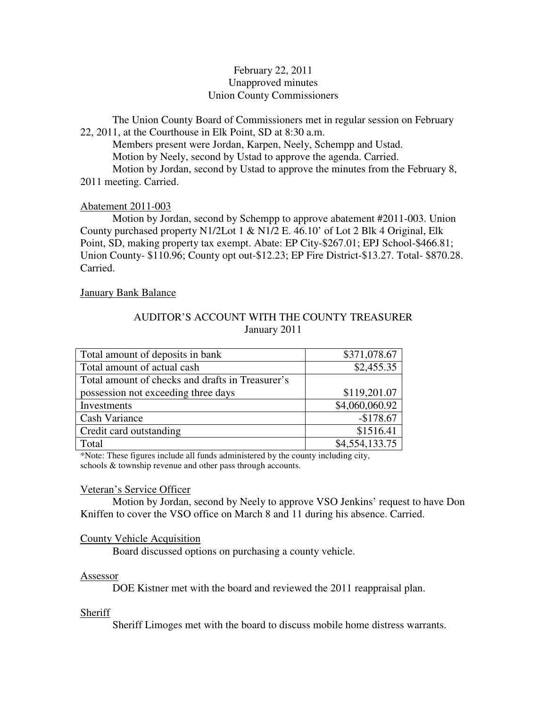# February 22, 2011 Unapproved minutes Union County Commissioners

The Union County Board of Commissioners met in regular session on February 22, 2011, at the Courthouse in Elk Point, SD at 8:30 a.m.

 Members present were Jordan, Karpen, Neely, Schempp and Ustad. Motion by Neely, second by Ustad to approve the agenda. Carried. Motion by Jordan, second by Ustad to approve the minutes from the February 8, 2011 meeting. Carried.

# Abatement 2011-003

 Motion by Jordan, second by Schempp to approve abatement #2011-003. Union County purchased property N1/2Lot 1 & N1/2 E. 46.10' of Lot 2 Blk 4 Original, Elk Point, SD, making property tax exempt. Abate: EP City-\$267.01; EPJ School-\$466.81; Union County- \$110.96; County opt out-\$12.23; EP Fire District-\$13.27. Total- \$870.28. Carried.

# January Bank Balance

# AUDITOR'S ACCOUNT WITH THE COUNTY TREASURER January 2011

| Total amount of deposits in bank                 | \$371,078.67   |
|--------------------------------------------------|----------------|
| Total amount of actual cash                      | \$2,455.35     |
| Total amount of checks and drafts in Treasurer's |                |
| possession not exceeding three days              | \$119,201.07   |
| Investments                                      | \$4,060,060.92 |
| <b>Cash Variance</b>                             | $-$178.67$     |
| Credit card outstanding                          | \$1516.41      |
| Total                                            | \$4,554,133.75 |

\*Note: These figures include all funds administered by the county including city, schools & township revenue and other pass through accounts.

### Veteran's Service Officer

 Motion by Jordan, second by Neely to approve VSO Jenkins' request to have Don Kniffen to cover the VSO office on March 8 and 11 during his absence. Carried.

# County Vehicle Acquisition

Board discussed options on purchasing a county vehicle.

### Assessor

DOE Kistner met with the board and reviewed the 2011 reappraisal plan.

# Sheriff

Sheriff Limoges met with the board to discuss mobile home distress warrants.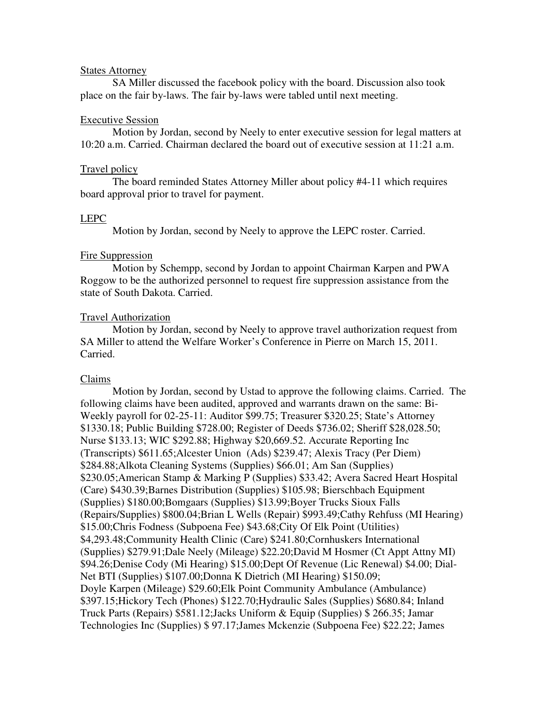### States Attorney

 SA Miller discussed the facebook policy with the board. Discussion also took place on the fair by-laws. The fair by-laws were tabled until next meeting.

### Executive Session

 Motion by Jordan, second by Neely to enter executive session for legal matters at 10:20 a.m. Carried. Chairman declared the board out of executive session at 11:21 a.m.

#### Travel policy

 The board reminded States Attorney Miller about policy #4-11 which requires board approval prior to travel for payment.

### LEPC

Motion by Jordan, second by Neely to approve the LEPC roster. Carried.

### Fire Suppression

 Motion by Schempp, second by Jordan to appoint Chairman Karpen and PWA Roggow to be the authorized personnel to request fire suppression assistance from the state of South Dakota. Carried.

### Travel Authorization

 Motion by Jordan, second by Neely to approve travel authorization request from SA Miller to attend the Welfare Worker's Conference in Pierre on March 15, 2011. Carried.

### Claims

 Motion by Jordan, second by Ustad to approve the following claims. Carried. The following claims have been audited, approved and warrants drawn on the same: Bi-Weekly payroll for 02-25-11: Auditor \$99.75; Treasurer \$320.25; State's Attorney \$1330.18; Public Building \$728.00; Register of Deeds \$736.02; Sheriff \$28,028.50; Nurse \$133.13; WIC \$292.88; Highway \$20,669.52. Accurate Reporting Inc (Transcripts) \$611.65;Alcester Union (Ads) \$239.47; Alexis Tracy (Per Diem) \$284.88;Alkota Cleaning Systems (Supplies) \$66.01; Am San (Supplies) \$230.05;American Stamp & Marking P (Supplies) \$33.42; Avera Sacred Heart Hospital (Care) \$430.39;Barnes Distribution (Supplies) \$105.98; Bierschbach Equipment (Supplies) \$180.00;Bomgaars (Supplies) \$13.99;Boyer Trucks Sioux Falls (Repairs/Supplies) \$800.04;Brian L Wells (Repair) \$993.49;Cathy Rehfuss (MI Hearing) \$15.00;Chris Fodness (Subpoena Fee) \$43.68;City Of Elk Point (Utilities) \$4,293.48;Community Health Clinic (Care) \$241.80;Cornhuskers International (Supplies) \$279.91;Dale Neely (Mileage) \$22.20;David M Hosmer (Ct Appt Attny MI) \$94.26;Denise Cody (Mi Hearing) \$15.00;Dept Of Revenue (Lic Renewal) \$4.00; Dial-Net BTI (Supplies) \$107.00;Donna K Dietrich (MI Hearing) \$150.09; Doyle Karpen (Mileage) \$29.60;Elk Point Community Ambulance (Ambulance) \$397.15;Hickory Tech (Phones) \$122.70;Hydraulic Sales (Supplies) \$680.84; Inland Truck Parts (Repairs) \$581.12;Jacks Uniform & Equip (Supplies) \$ 266.35; Jamar Technologies Inc (Supplies) \$ 97.17;James Mckenzie (Subpoena Fee) \$22.22; James